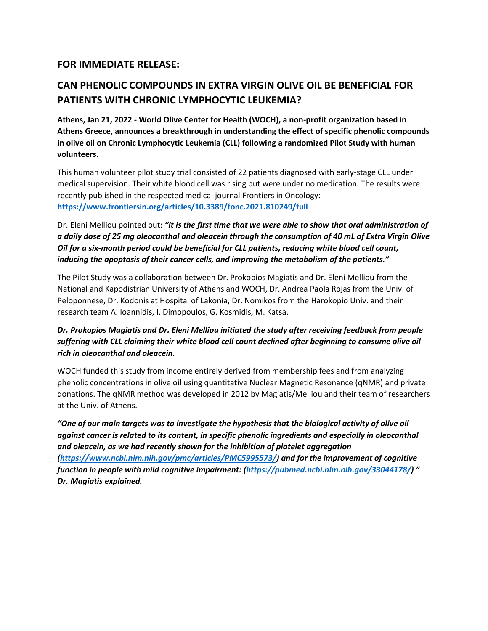## **FOR IMMEDIATE RELEASE:**

## **CAN PHENOLIC COMPOUNDS IN EXTRA VIRGIN OLIVE OIL BE BENEFICIAL FOR PATIENTS WITH CHRONIC LYMPHOCYTIC LEUKEMIA?**

**Athens, Jan 21, 2022 - World Olive Center for Health (WOCH), a non-profit organization based in Athens Greece, announces a breakthrough in understanding the effect of specific phenolic compounds in olive oil on Chronic Lymphocytic Leukemia (CLL) following a randomized Pilot Study with human volunteers.** 

This human volunteer pilot study trial consisted of 22 patients diagnosed with early-stage CLL under medical supervision. Their white blood cell was rising but were under no medication. The results were recently published in the respected medical journal Frontiers in Oncology: **<https://www.frontiersin.org/articles/10.3389/fonc.2021.810249/full>**

Dr. Eleni Melliou pointed out: *"It is the first time that we were able to show that oral administration of a daily dose of 25 mg oleocanthal and oleacein through the consumption of 40 mL of Extra Virgin Olive Oil for a six-month period could be beneficial for CLL patients, reducing white blood cell count, inducing the apoptosis of their cancer cells, and improving the metabolism of the patients."*

The Pilot Study was a collaboration between Dr. Prokopios Magiatis and Dr. Eleni Melliou from the National and Kapodistrian University of Athens and WOCH, Dr. Andrea Paola Rojas from the Univ. of Peloponnese, Dr. Kodonis at Hospital of Lakonía, Dr. Nomikos from the Harokopio Univ. and their research team A. Ioannidis, I. Dimopoulos, G. Kosmidis, M. Katsa.

## *Dr. Prokopios Magiatis and Dr. Eleni Melliou initiated the study after receiving feedback from people suffering with CLL claiming their white blood cell count declined after beginning to consume olive oil rich in oleocanthal and oleacein.*

WOCH funded this study from income entirely derived from membership fees and from analyzing phenolic concentrations in olive oil using quantitative Nuclear Magnetic Resonance (qNMR) and private donations. The qNMR method was developed in 2012 by Magiatis/Melliou and their team of researchers at the Univ. of Athens.

*"One of our main targets was to investigate the hypothesis that the biological activity of olive oil against cancer is related to its content, in specific phenolic ingredients and especially in oleocanthal and oleacein, as we had recently shown for the inhibition of platelet aggregation [\(https://www.ncbi.nlm.nih.gov/pmc/articles/PMC5995573/\)](https://www.ncbi.nlm.nih.gov/pmc/articles/PMC5995573/) and for the improvement of cognitive function in people with mild cognitive impairment: [\(https://pubmed.ncbi.nlm.nih.gov/33044178/\)](https://pubmed.ncbi.nlm.nih.gov/33044178/) " Dr. Magiatis explained.*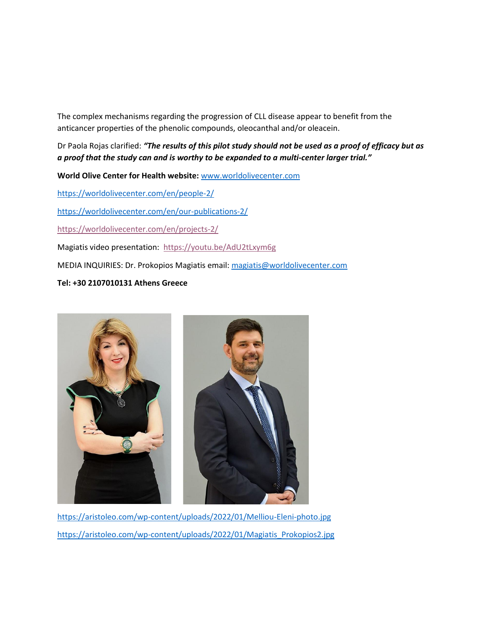The complex mechanisms regarding the progression of CLL disease appear to benefit from the anticancer properties of the phenolic compounds, oleocanthal and/or oleacein.

Dr Paola Rojas clarified: *"The results of this pilot study should not be used as a proof of efficacy but as a proof that the study can and is worthy to be expanded to a multi-center larger trial."*

**World Olive Center for Health website:** [www.worldolivecenter.com](http://www.worldolivecenter.com/)

<https://worldolivecenter.com/en/people-2/>

<https://worldolivecenter.com/en/our-publications-2/>

<https://worldolivecenter.com/en/projects-2/>

Magiatis video presentation: <https://youtu.be/AdU2tLxym6g>

MEDIA INQUIRIES: Dr. Prokopios Magiatis email[: magiatis@worldolivecenter.com](mailto:magiatis@worldolivecenter.com)

## **Tel: +30 2107010131 Athens Greece**



<https://aristoleo.com/wp-content/uploads/2022/01/Melliou-Eleni-photo.jpg> [https://aristoleo.com/wp-content/uploads/2022/01/Magiatis\\_Prokopios2.jpg](https://aristoleo.com/wp-content/uploads/2022/01/Magiatis_Prokopios2.jpg)